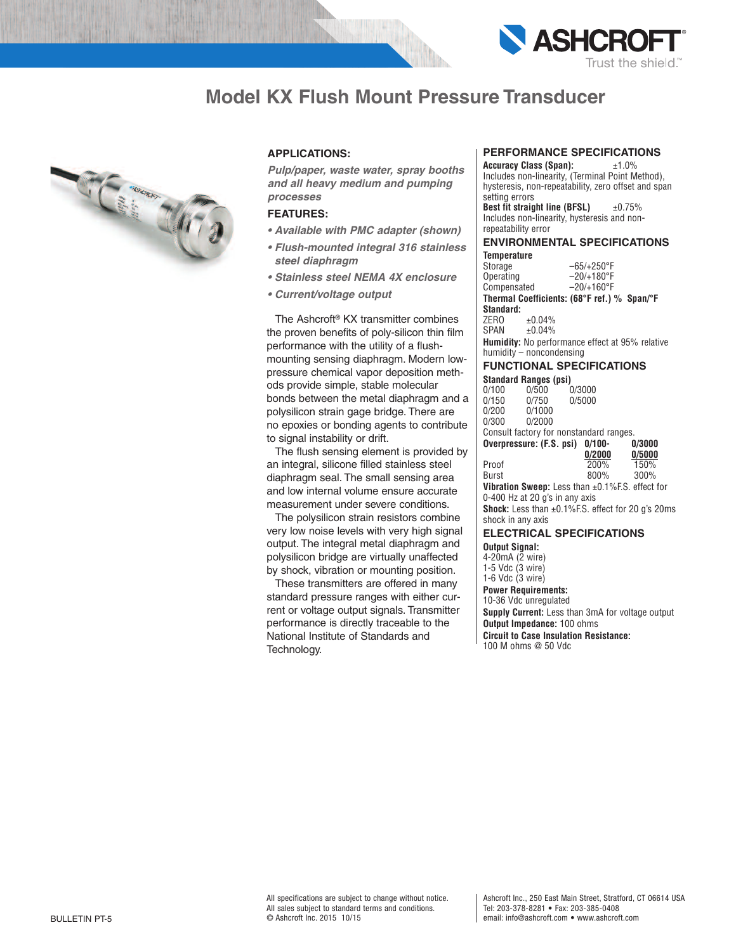

# **Model KX Flush Mount Pressure Transducer**



# **APPLICATIONS:**

*Pulp/paper, waste water, spray booths and all heavy medium and pumping processes*

# **FEATURES:**

- *• Available with PMC adapter (shown)*
- *• Flush-mounted integral 316 stainless steel diaphragm*
- *• Stainless steel NEMA 4X enclosure*
- *• Current/voltage output*

The Ashcroft ® KX transmitter combines the proven benefits of poly-silicon thin film performance with the utility of a flushmounting sensing diaphragm. Modern lowpressure chemical vapor deposition methods provide simple, stable molecular bonds between the metal diaphragm and a polysilicon strain gage bridge. There are no epoxies or bonding agents to contribute to signal instability or drift.

The flush sensing element is provided by an integral, silicone filled stainless steel diaphragm seal. The small sensing area and low internal volume ensure accurate measurement under severe conditions.

The polysilicon strain resistors combine very low noise levels with very high signal output. The integral metal diaphragm and polysilicon bridge are virtually unaffected by shock, vibration or mounting position.

These transmitters are offered in many standard pressure ranges with either current or voltage output signals. Transmitter performance is directly traceable to the National Institute of Standards and Technology.

## **PERFORMANCE SPECIFICATIONS**

**Accuracy Class (Span):** ±1.0% Includes non-linearity, (Terminal Point Method). hysteresis, non-repeatability, zero offset and span setting errors

**Best fit straight line (BFSL)** ±0.75% Includes non-linearity, hysteresis and nonrepeatability error

#### **ENVIRONMENTAL SPECIFICATIONS Temperature**

| Storage                  | $-65/+250$ °F                                          |
|--------------------------|--------------------------------------------------------|
| Operating                | $-20/+180^{\circ}F$                                    |
| Compensated              | $-20/+160^{\circ}F$                                    |
|                          | Thermal Coefficients: (68°F ref.) % Span/°F            |
| Standard:                |                                                        |
| ZERO                     | ±0.04%                                                 |
| SPAN                     | ±0.04%                                                 |
|                          | <b>Humidity:</b> No performance effect at 95% relative |
| humidity – noncondensing |                                                        |

### **FUNCTIONAL SPECIFICATIONS Standard Ranges (psi)**

| 0/100                                                           | 0/500                          | 0/3000                                  |                                                               |  |
|-----------------------------------------------------------------|--------------------------------|-----------------------------------------|---------------------------------------------------------------|--|
| 0/150                                                           | 0/750                          | 0/5000                                  |                                                               |  |
| 0/200                                                           | 0/1000                         |                                         |                                                               |  |
| 0/300                                                           | 0/2000                         |                                         |                                                               |  |
|                                                                 |                                | Consult factory for nonstandard ranges. |                                                               |  |
|                                                                 |                                | Overpressure: (F.S. psi) 0/100-         | 0/3000                                                        |  |
|                                                                 |                                | 0/2000                                  | 0/5000                                                        |  |
| Proof                                                           |                                | 200%                                    | 150%                                                          |  |
| Burst                                                           |                                | 800%                                    | 300%                                                          |  |
|                                                                 |                                |                                         | <b>Vibration Sweep:</b> Less than $\pm 0.1\%$ F.S. effect for |  |
|                                                                 | 0-400 Hz at 20 g's in any axis |                                         |                                                               |  |
| <b>Shock:</b> Less than $\pm 0.1\%$ F.S. effect for 20 q's 20ms |                                |                                         |                                                               |  |

### **ELECTRICAL SPECIFICATIONS**

**Output Signal:**

4-20mA (2 wire) 1-5 Vdc (3 wire)

shock in any axis

1-6 Vdc (3 wire)

**Power Requirements:**

10-36 Vdc unregulated **Supply Current:** Less than 3mA for voltage output **Output Impedance:** 100 ohms **Circuit to Case Insulation Resistance:**

100 M ohms @ 50 Vdc